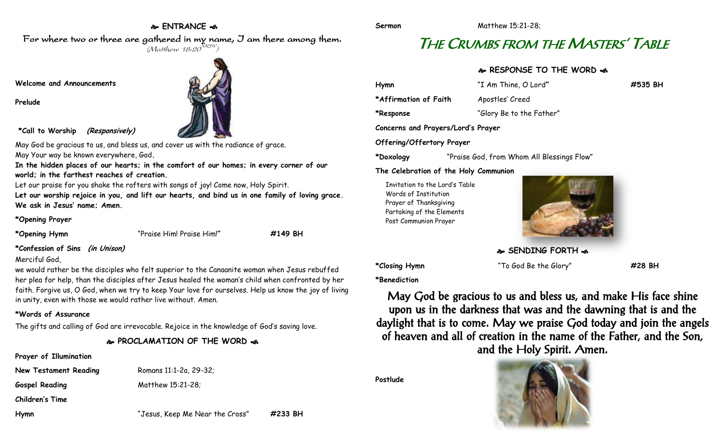#### **ENTRANCE**

#### For where two or three are gathered in my name, I am there among them.  $(M$ atthew 18:20 $^{NRSV})$

**Welcome and Announcements**

**Prelude**



**\*Call to Worship (Responsively)**

May God be gracious to us, and bless us, and cover us with the radiance of arace. May Your way be known everywhere, God**.**

**In the hidden places of our hearts; in the comfort of our homes; in every corner of our world; in the farthest reaches of creation.**

Let our praise for you shake the rafters with songs of joy! Come now, Holy Spirit.

**Let our worship rejoice in you, and lift our hearts, and bind us in one family of loving grace. We ask in Jesus' name; Amen.**

#### **\*Opening Prayer**

**\*Opening Hymn** "Praise Him! Praise Him!**" #149 BH**

**\*Confession of Sins (in Unison)**

#### Merciful God,

we would rather be the disciples who felt superior to the Canaanite woman when Jesus rebuffed her plea for help, than the disciples after Jesus healed the woman's child when confronted by her faith. Forgive us, O God, when we try to keep Your love for ourselves. Help us know the joy of living in unity, even with those we would rather live without. Amen.

#### **\*Words of Assurance**

The gifts and calling of God are irrevocable. Rejoice in the knowledge of God's saving love.

**PROCLAMATION OF THE WORD** 

#### **Prayer of Illumination**

**New Testament Reading Romans 11:1-2a, 29-32;** 

Gospel Reading Matthew 15:21-28;

**Children's Time**

**Hymn** "Jesus, Keep Me Near the Cross" **#233 BH**

# THE CRUMBS FROM THE MASTERS' TABLE

#### **RESPONSE TO THE WORD**

| Hymn                               | "I Am Thine, O Lord"     | #535 BH |
|------------------------------------|--------------------------|---------|
| *Affirmation of Faith              | Apostles' Creed          |         |
| *Response                          | "Glory Be to the Father" |         |
| Concerns and Prayers/Lord's Prayer |                          |         |
| Offering/Offertory Prayer          |                          |         |

**\*Doxology** "Praise God, from Whom All Blessings Flow"

#### **The Celebration of the Holy Communion**

Invitation to the Lord's Table Words of Institution Prayer of Thanksgiving Partaking of the Elements Post Communion Prayer



**SENDING FORTH**  $\approx$ 

**\*Closing Hymn** "To God Be the Glory" **#28 BH**

**\*Benediction**

May God be gracious to us and bless us, and make His face shine upon us in the darkness that was and the dawning that is and the daylight that is to come. May we praise God today and join the angels of heaven and all of creation in the name of the Father, and the Son, and the Holy Spirit. Amen.

**Postlude**